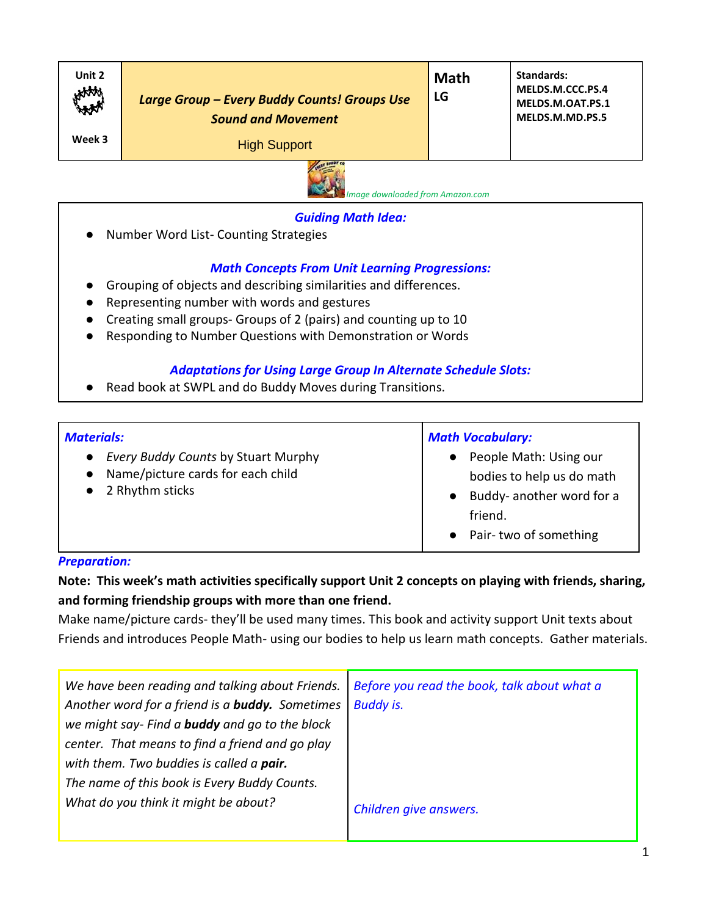| Unit 2<br>HAAA<br>Week 3 | Large Group - Every Buddy Counts! Groups Use<br><b>Sound and Movement</b><br><b>High Support</b><br><b>ALCOHOL</b> | <b>Math</b><br>LG | Standards:<br>MELDS.M.CCC.PS.4<br>MELDS.M.OAT.PS.1<br>MELDS.M.MD.PS.5 |
|--------------------------|--------------------------------------------------------------------------------------------------------------------|-------------------|-----------------------------------------------------------------------|
|--------------------------|--------------------------------------------------------------------------------------------------------------------|-------------------|-----------------------------------------------------------------------|



#### *Guiding Math Idea:*

 *Image downloaded from Amazon.com*

**Number Word List- Counting Strategies** 

# *Math Concepts From Unit Learning Progressions:*

- Grouping of objects and describing similarities and differences.
- Representing number with words and gestures
- Creating small groups- Groups of 2 (pairs) and counting up to 10
- Responding to Number Questions with Demonstration or Words

### *Adaptations for Using Large Group In Alternate Schedule Slots:*

● Read book at SWPL and do Buddy Moves during Transitions.

| <b>Materials:</b>                                                                                                            | <b>Math Vocabulary:</b>                                                                                                           |  |
|------------------------------------------------------------------------------------------------------------------------------|-----------------------------------------------------------------------------------------------------------------------------------|--|
| <b>Every Buddy Counts by Stuart Murphy</b><br>$\bullet$<br>Name/picture cards for each child<br>$\bullet$<br>2 Rhythm sticks | People Math: Using our<br>$\bullet$<br>bodies to help us do math<br>Buddy- another word for a<br>friend.<br>Pair-two of something |  |

### *Preparation:*

**Note: This week's math activities specifically support Unit 2 concepts on playing with friends, sharing, and forming friendship groups with more than one friend.**

Make name/picture cards- they'll be used many times. This book and activity support Unit texts about Friends and introduces People Math- using our bodies to help us learn math concepts. Gather materials.

| We have been reading and talking about Friends.        | Before you read the book, talk about what a |  |
|--------------------------------------------------------|---------------------------------------------|--|
| Another word for a friend is a <b>buddy.</b> Sometimes | <b>Buddy is.</b>                            |  |
| we might say- Find a <b>buddy</b> and go to the block  |                                             |  |
| center. That means to find a friend and go play        |                                             |  |
| with them. Two buddies is called a pair.               |                                             |  |
| The name of this book is Every Buddy Counts.           |                                             |  |
| What do you think it might be about?                   | Children give answers.                      |  |
|                                                        |                                             |  |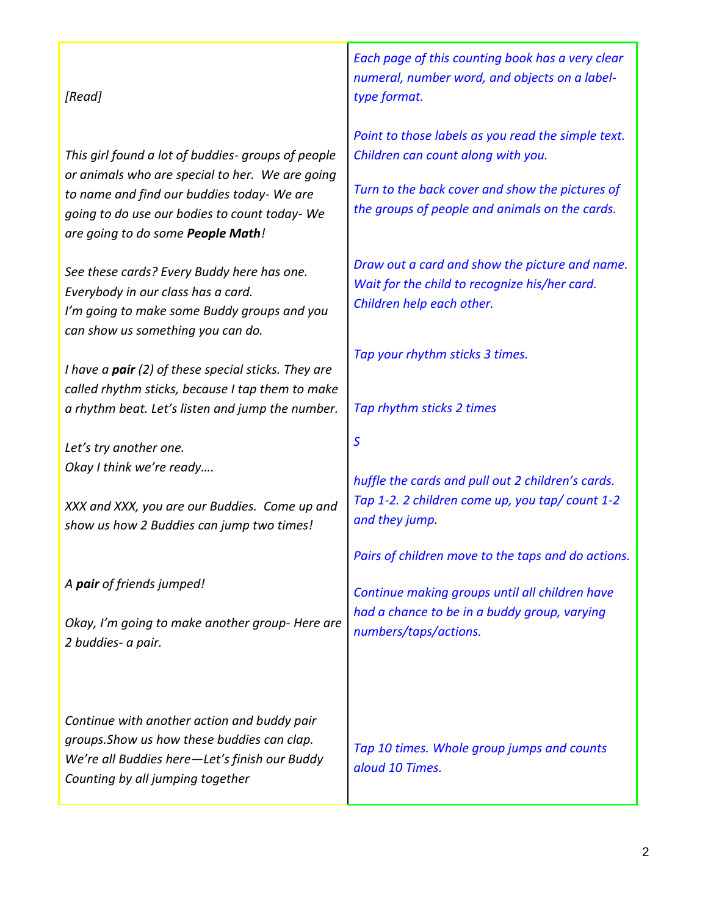### *[Read]*

*This girl found a lot of buddies- groups of people or animals who are special to her. We are going to name and find our buddies today- We are going to do use our bodies to count today- We are going to do some People Math!* 

*See these cards? Every Buddy here has one. Everybody in our class has a card. I'm going to make some Buddy groups and you can show us something you can do.* 

*I have a pair (2) of these special sticks. They are called rhythm sticks, because I tap them to make a rhythm beat. Let's listen and jump the number.*

*Let's try another one. Okay I think we're ready….*

*XXX and XXX, you are our Buddies. Come up and show us how 2 Buddies can jump two times!*

*A pair of friends jumped!*

*Okay, I'm going to make another group- Here are 2 buddies- a pair.*

*Continue with another action and buddy pair groups.Show us how these buddies can clap. We're all Buddies here—Let's finish our Buddy Counting by all jumping together*

*Each page of this counting book has a very clear numeral, number word, and objects on a labeltype format.*

*Point to those labels as you read the simple text. Children can count along with you.*

*Turn to the back cover and show the pictures of the groups of people and animals on the cards.* 

*Draw out a card and show the picture and name. Wait for the child to recognize his/her card. Children help each other.*

*Tap your rhythm sticks 3 times.* 

*Tap rhythm sticks 2 times*

*S*

*huffle the cards and pull out 2 children's cards. Tap 1-2. 2 children come up, you tap/ count 1-2 and they jump.*

*Pairs of children move to the taps and do actions.* 

*Continue making groups until all children have had a chance to be in a buddy group, varying numbers/taps/actions.* 

*Tap 10 times. Whole group jumps and counts aloud 10 Times.*